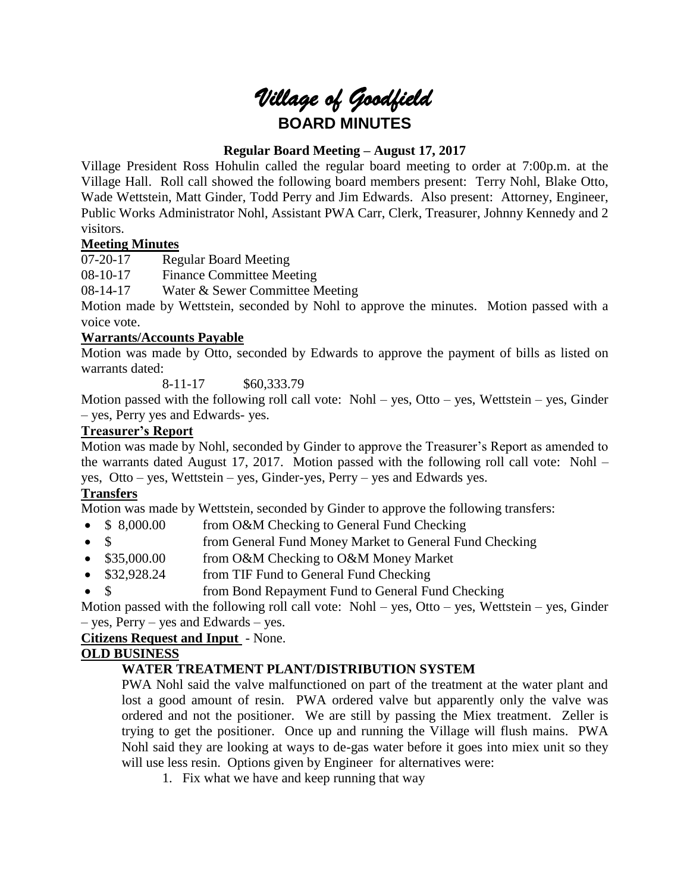

# **Regular Board Meeting – August 17, 2017**

Village President Ross Hohulin called the regular board meeting to order at 7:00p.m. at the Village Hall. Roll call showed the following board members present: Terry Nohl, Blake Otto, Wade Wettstein, Matt Ginder, Todd Perry and Jim Edwards. Also present: Attorney, Engineer, Public Works Administrator Nohl, Assistant PWA Carr, Clerk, Treasurer, Johnny Kennedy and 2 visitors.

# **Meeting Minutes**

07-20-17 Regular Board Meeting

08-10-17 Finance Committee Meeting

08-14-17 Water & Sewer Committee Meeting

Motion made by Wettstein, seconded by Nohl to approve the minutes. Motion passed with a voice vote.

# **Warrants/Accounts Payable**

Motion was made by Otto, seconded by Edwards to approve the payment of bills as listed on warrants dated:

8-11-17 \$60,333.79

Motion passed with the following roll call vote: Nohl – yes, Otto – yes, Wettstein – yes, Ginder – yes, Perry yes and Edwards- yes.

# **Treasurer's Report**

Motion was made by Nohl, seconded by Ginder to approve the Treasurer's Report as amended to the warrants dated August 17, 2017. Motion passed with the following roll call vote: Nohl – yes, Otto – yes, Wettstein – yes, Ginder-yes, Perry – yes and Edwards yes.

# **Transfers**

Motion was made by Wettstein, seconded by Ginder to approve the following transfers:

- \$ 8,000.00 from O&M Checking to General Fund Checking
- \$ from General Fund Money Market to General Fund Checking
- \$35,000.00 from O&M Checking to O&M Money Market
- \$32,928.24 from TIF Fund to General Fund Checking
- \$ from Bond Repayment Fund to General Fund Checking

Motion passed with the following roll call vote: Nohl – yes, Otto – yes, Wettstein – yes, Ginder – yes, Perry – yes and Edwards – yes.

# **Citizens Request and Input** - None.

# **OLD BUSINESS**

# **WATER TREATMENT PLANT/DISTRIBUTION SYSTEM**

PWA Nohl said the valve malfunctioned on part of the treatment at the water plant and lost a good amount of resin. PWA ordered valve but apparently only the valve was ordered and not the positioner. We are still by passing the Miex treatment. Zeller is trying to get the positioner. Once up and running the Village will flush mains. PWA Nohl said they are looking at ways to de-gas water before it goes into miex unit so they will use less resin. Options given by Engineer for alternatives were:

1. Fix what we have and keep running that way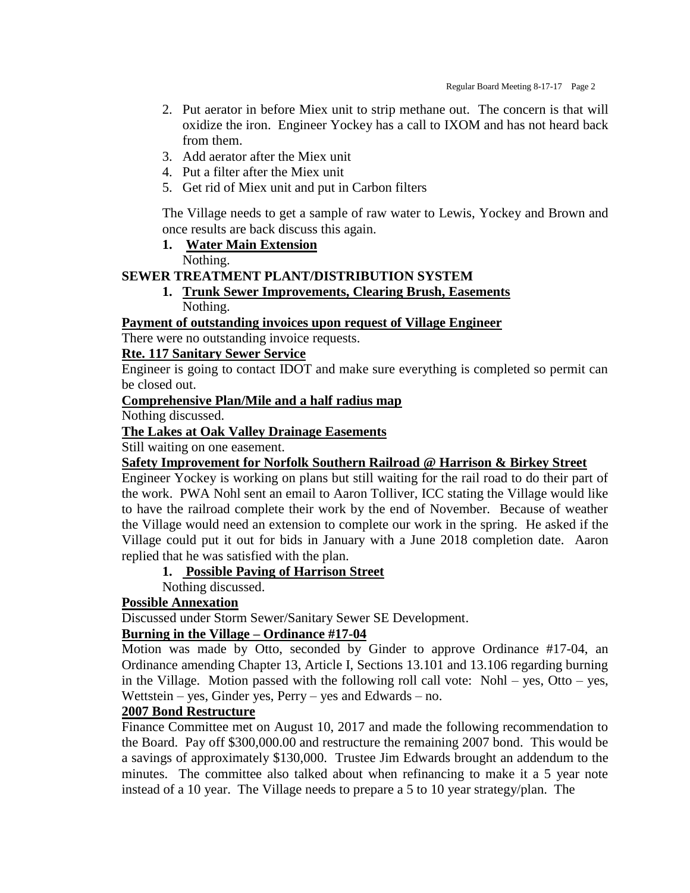- 2. Put aerator in before Miex unit to strip methane out. The concern is that will oxidize the iron. Engineer Yockey has a call to IXOM and has not heard back from them.
- 3. Add aerator after the Miex unit
- 4. Put a filter after the Miex unit
- 5. Get rid of Miex unit and put in Carbon filters

The Village needs to get a sample of raw water to Lewis, Yockey and Brown and once results are back discuss this again.

**1. Water Main Extension**

Nothing.

### **SEWER TREATMENT PLANT/DISTRIBUTION SYSTEM**

# **1. Trunk Sewer Improvements, Clearing Brush, Easements** Nothing.

#### **Payment of outstanding invoices upon request of Village Engineer**

There were no outstanding invoice requests.

### **Rte. 117 Sanitary Sewer Service**

Engineer is going to contact IDOT and make sure everything is completed so permit can be closed out.

#### **Comprehensive Plan/Mile and a half radius map**

Nothing discussed.

**The Lakes at Oak Valley Drainage Easements**

Still waiting on one easement.

#### **Safety Improvement for Norfolk Southern Railroad @ Harrison & Birkey Street**

Engineer Yockey is working on plans but still waiting for the rail road to do their part of the work. PWA Nohl sent an email to Aaron Tolliver, ICC stating the Village would like to have the railroad complete their work by the end of November. Because of weather the Village would need an extension to complete our work in the spring. He asked if the Village could put it out for bids in January with a June 2018 completion date. Aaron replied that he was satisfied with the plan.

### **1. Possible Paving of Harrison Street**

Nothing discussed.

#### **Possible Annexation**

Discussed under Storm Sewer/Sanitary Sewer SE Development.

### **Burning in the Village – Ordinance #17-04**

Motion was made by Otto, seconded by Ginder to approve Ordinance #17-04, an Ordinance amending Chapter 13, Article I, Sections 13.101 and 13.106 regarding burning in the Village. Motion passed with the following roll call vote: Nohl – yes, Otto – yes, Wettstein – yes, Ginder yes, Perry – yes and Edwards – no.

#### **2007 Bond Restructure**

Finance Committee met on August 10, 2017 and made the following recommendation to the Board. Pay off \$300,000.00 and restructure the remaining 2007 bond. This would be a savings of approximately \$130,000. Trustee Jim Edwards brought an addendum to the minutes. The committee also talked about when refinancing to make it a 5 year note instead of a 10 year. The Village needs to prepare a 5 to 10 year strategy/plan. The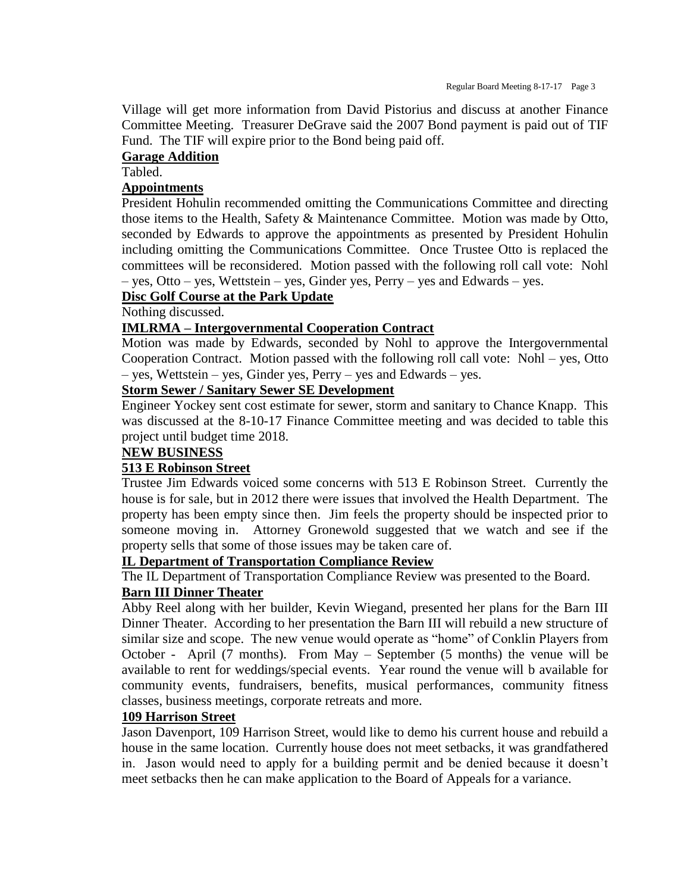Village will get more information from David Pistorius and discuss at another Finance Committee Meeting. Treasurer DeGrave said the 2007 Bond payment is paid out of TIF Fund. The TIF will expire prior to the Bond being paid off.

# **Garage Addition**

Tabled.

# **Appointments**

President Hohulin recommended omitting the Communications Committee and directing those items to the Health, Safety & Maintenance Committee. Motion was made by Otto, seconded by Edwards to approve the appointments as presented by President Hohulin including omitting the Communications Committee. Once Trustee Otto is replaced the committees will be reconsidered. Motion passed with the following roll call vote: Nohl – yes, Otto – yes, Wettstein – yes, Ginder yes, Perry – yes and Edwards – yes.

# **Disc Golf Course at the Park Update**

Nothing discussed.

### **IMLRMA – Intergovernmental Cooperation Contract**

Motion was made by Edwards, seconded by Nohl to approve the Intergovernmental Cooperation Contract. Motion passed with the following roll call vote: Nohl – yes, Otto – yes, Wettstein – yes, Ginder yes, Perry – yes and Edwards – yes.

# **Storm Sewer / Sanitary Sewer SE Development**

Engineer Yockey sent cost estimate for sewer, storm and sanitary to Chance Knapp. This was discussed at the 8-10-17 Finance Committee meeting and was decided to table this project until budget time 2018.

# **NEW BUSINESS**

# **513 E Robinson Street**

Trustee Jim Edwards voiced some concerns with 513 E Robinson Street. Currently the house is for sale, but in 2012 there were issues that involved the Health Department. The property has been empty since then. Jim feels the property should be inspected prior to someone moving in. Attorney Gronewold suggested that we watch and see if the property sells that some of those issues may be taken care of.

# **IL Department of Transportation Compliance Review**

The IL Department of Transportation Compliance Review was presented to the Board.

# **Barn III Dinner Theater**

Abby Reel along with her builder, Kevin Wiegand, presented her plans for the Barn III Dinner Theater. According to her presentation the Barn III will rebuild a new structure of similar size and scope. The new venue would operate as "home" of Conklin Players from October - April (7 months). From May – September (5 months) the venue will be available to rent for weddings/special events. Year round the venue will b available for community events, fundraisers, benefits, musical performances, community fitness classes, business meetings, corporate retreats and more.

# **109 Harrison Street**

Jason Davenport, 109 Harrison Street, would like to demo his current house and rebuild a house in the same location. Currently house does not meet setbacks, it was grandfathered in. Jason would need to apply for a building permit and be denied because it doesn't meet setbacks then he can make application to the Board of Appeals for a variance.